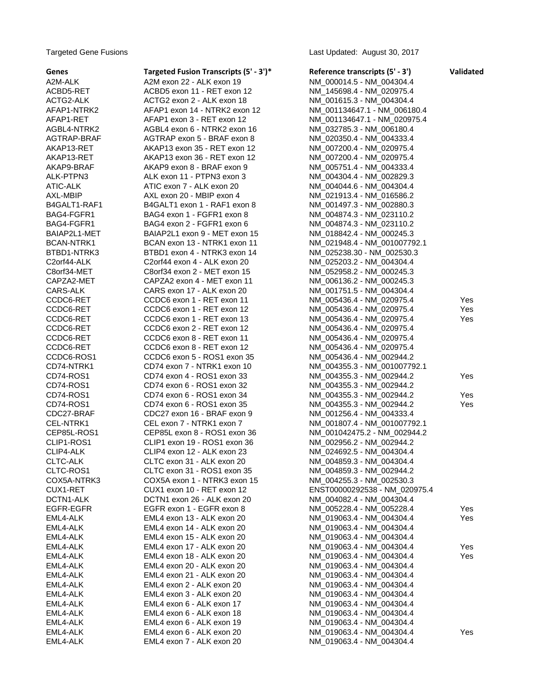Targeted Gene Fusions Last Updated: August 30, 2017

| Genes        | Targeted Fusion Transcripts (5' - 3')* | Reference transcripts (5' - 3') | Validated |
|--------------|----------------------------------------|---------------------------------|-----------|
| A2M-ALK      | A2M exon 22 - ALK exon 19              | NM 000014.5 - NM_004304.4       |           |
| ACBD5-RET    | ACBD5 exon 11 - RET exon 12            | NM 145698.4 - NM 020975.4       |           |
| ACTG2-ALK    | ACTG2 exon 2 - ALK exon 18             | NM_001615.3 - NM_004304.4       |           |
| AFAP1-NTRK2  | AFAP1 exon 14 - NTRK2 exon 12          | NM_001134647.1 - NM_006180.4    |           |
| AFAP1-RET    | AFAP1 exon 3 - RET exon 12             | NM_001134647.1 - NM_020975.4    |           |
| AGBL4-NTRK2  | AGBL4 exon 6 - NTRK2 exon 16           | NM_032785.3 - NM_006180.4       |           |
| AGTRAP-BRAF  | AGTRAP exon 5 - BRAF exon 8            | NM_020350.4 - NM_004333.4       |           |
| AKAP13-RET   | AKAP13 exon 35 - RET exon 12           | NM_007200.4 - NM_020975.4       |           |
| AKAP13-RET   | AKAP13 exon 36 - RET exon 12           | NM_007200.4 - NM_020975.4       |           |
| AKAP9-BRAF   | AKAP9 exon 8 - BRAF exon 9             | NM_005751.4 - NM_004333.4       |           |
| ALK-PTPN3    | ALK exon 11 - PTPN3 exon 3             | NM_004304.4 - NM_002829.3       |           |
| ATIC-ALK     | ATIC exon 7 - ALK exon 20              | NM_004044.6 - NM_004304.4       |           |
| AXL-MBIP     | AXL exon 20 - MBIP exon 4              | NM_021913.4 - NM_016586.2       |           |
| B4GALT1-RAF1 | B4GALT1 exon 1 - RAF1 exon 8           | NM_001497.3 - NM_002880.3       |           |
| BAG4-FGFR1   | BAG4 exon 1 - FGFR1 exon 8             | NM_004874.3 - NM_023110.2       |           |
| BAG4-FGFR1   | BAG4 exon 2 - FGFR1 exon 6             | NM 004874.3 - NM 023110.2       |           |
| BAIAP2L1-MET | BAIAP2L1 exon 9 - MET exon 15          | NM_018842.4 - NM_000245.3       |           |
| BCAN-NTRK1   | BCAN exon 13 - NTRK1 exon 11           | NM_021948.4 - NM_001007792.1    |           |
| BTBD1-NTRK3  | BTBD1 exon 4 - NTRK3 exon 14           | NM_025238.30 - NM_002530.3      |           |
| C2orf44-ALK  | C2orf44 exon 4 - ALK exon 20           | NM_025203.2 - NM_004304.4       |           |
| C8orf34-MET  | C8orf34 exon 2 - MET exon 15           | NM 052958.2 - NM 000245.3       |           |
| CAPZA2-MET   | CAPZA2 exon 4 - MET exon 11            | NM_006136.2 - NM_000245.3       |           |
| CARS-ALK     | CARS exon 17 - ALK exon 20             | NM_001751.5 - NM_004304.4       |           |
| CCDC6-RET    | CCDC6 exon 1 - RET exon 11             | NM_005436.4 - NM_020975.4       | Yes       |
| CCDC6-RET    | CCDC6 exon 1 - RET exon 12             | NM_005436.4 - NM_020975.4       | Yes       |
| CCDC6-RET    | CCDC6 exon 1 - RET exon 13             | NM_005436.4 - NM_020975.4       | Yes       |
| CCDC6-RET    | CCDC6 exon 2 - RET exon 12             | NM_005436.4 - NM_020975.4       |           |
| CCDC6-RET    | CCDC6 exon 8 - RET exon 11             | NM_005436.4 - NM_020975.4       |           |
| CCDC6-RET    | CCDC6 exon 8 - RET exon 12             | NM_005436.4 - NM_020975.4       |           |
| CCDC6-ROS1   | CCDC6 exon 5 - ROS1 exon 35            | NM_005436.4 - NM_002944.2       |           |
| CD74-NTRK1   | CD74 exon 7 - NTRK1 exon 10            | NM_004355.3 - NM_001007792.1    |           |
| CD74-ROS1    | CD74 exon 4 - ROS1 exon 33             | NM_004355.3 - NM_002944.2       | Yes       |
| CD74-ROS1    | CD74 exon 6 - ROS1 exon 32             | NM_004355.3 - NM_002944.2       |           |
| CD74-ROS1    | CD74 exon 6 - ROS1 exon 34             | NM_004355.3 - NM_002944.2       | Yes       |
| CD74-ROS1    | CD74 exon 6 - ROS1 exon 35             | NM_004355.3 - NM_002944.2       | Yes       |
| CDC27-BRAF   | CDC27 exon 16 - BRAF exon 9            | NM 001256.4 - NM 004333.4       |           |
| CEL-NTRK1    | CEL exon 7 - NTRK1 exon 7              | NM_001807.4 - NM_001007792.1    |           |
| CEP85L-ROS1  | CEP85L exon 8 - ROS1 exon 36           | NM_001042475.2 - NM_002944.2    |           |
| CLIP1-ROS1   | CLIP1 exon 19 - ROS1 exon 36           | NM_002956.2 - NM_002944.2       |           |
| CLIP4-ALK    | CLIP4 exon 12 - ALK exon 23            | NM_024692.5 - NM_004304.4       |           |
| CLTC-ALK     | CLTC exon 31 - ALK exon 20             | NM_004859.3 - NM_004304.4       |           |
| CLTC-ROS1    | CLTC exon 31 - ROS1 exon 35            | NM 004859.3 - NM 002944.2       |           |
| COX5A-NTRK3  | COX5A exon 1 - NTRK3 exon 15           | NM_004255.3 - NM_002530.3       |           |
| CUX1-RET     | CUX1 exon 10 - RET exon 12             | ENST00000292538 - NM_020975.4   |           |
| DCTN1-ALK    | DCTN1 exon 26 - ALK exon 20            | NM_004082.4 - NM_004304.4       |           |
| EGFR-EGFR    | EGFR exon 1 - EGFR exon 8              | NM_005228.4 - NM_005228.4       | Yes       |
| EML4-ALK     | EML4 exon 13 - ALK exon 20             | NM_019063.4 - NM_004304.4       | Yes       |
| EML4-ALK     | EML4 exon 14 - ALK exon 20             | NM_019063.4 - NM_004304.4       |           |
| EML4-ALK     | EML4 exon 15 - ALK exon 20             | NM 019063.4 - NM 004304.4       |           |
| EML4-ALK     | EML4 exon 17 - ALK exon 20             | NM_019063.4 - NM_004304.4       | Yes       |
| EML4-ALK     | EML4 exon 18 - ALK exon 20             | NM 019063.4 - NM_004304.4       | Yes       |
| EML4-ALK     | EML4 exon 20 - ALK exon 20             | NM_019063.4 - NM_004304.4       |           |
| EML4-ALK     | EML4 exon 21 - ALK exon 20             | NM_019063.4 - NM_004304.4       |           |
| EML4-ALK     | EML4 exon 2 - ALK exon 20              | NM_019063.4 - NM_004304.4       |           |
| EML4-ALK     | EML4 exon 3 - ALK exon 20              | NM_019063.4 - NM_004304.4       |           |
| EML4-ALK     | EML4 exon 6 - ALK exon 17              | NM 019063.4 - NM 004304.4       |           |
| EML4-ALK     | EML4 exon 6 - ALK exon 18              | NM_019063.4 - NM_004304.4       |           |
| EML4-ALK     | EML4 exon 6 - ALK exon 19              | NM_019063.4 - NM_004304.4       |           |
| EML4-ALK     | EML4 exon 6 - ALK exon 20              | NM_019063.4 - NM_004304.4       | Yes       |
| EML4-ALK     | EML4 exon 7 - ALK exon 20              | NM_019063.4 - NM_004304.4       |           |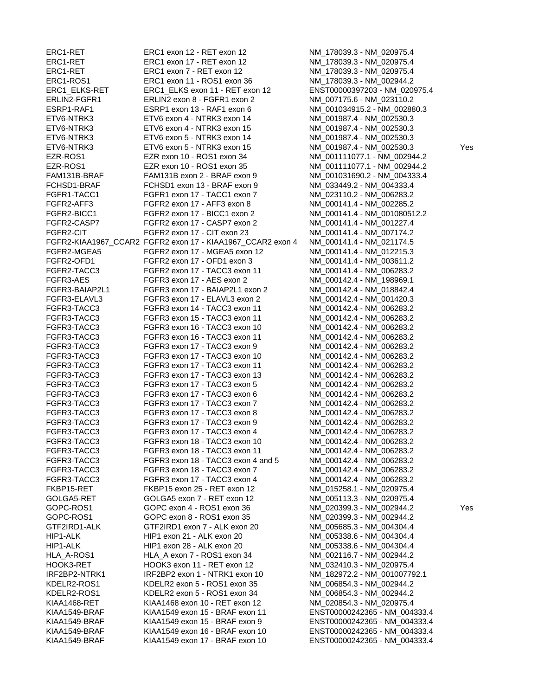ERC1-RET ERC1 exon 12 - RET exon 12 NM\_178039.3 - NM\_020975.4 ERC1-RET ERC1 exon 17 - RET exon 12 NM\_178039.3 - NM\_020975.4 ERC1-RET ERC1 exon 7 - RET exon 12 NM\_178039.3 - NM\_020975.4 ERC1-ROS1 ERC1 exon 11 - ROS1 exon 36 NM\_178039.3 - NM\_002944.2 ERC1\_ELKS-RET ERC1\_ELKS exon 11 - RET exon 12 ENST00000397203 - NM\_020975.4 ERLIN2-FGFR1 ERLIN2 exon 8 - FGFR1 exon 2 NM\_007175.6 - NM\_023110.2 ESRP1-RAF1 ESRP1 exon 13 - RAF1 exon 6 NM\_001034915.2 - NM\_002880.3 ETV6-NTRK3 ETV6 exon 4 - NTRK3 exon 14 NM\_001987.4 - NM\_002530.3 ETV6-NTRK3 ETV6 exon 4 - NTRK3 exon 15 NM\_001987.4 - NM\_002530.3 ETV6-NTRK3 ETV6 exon 5 - NTRK3 exon 14 NM\_001987.4 - NM\_002530.3 ETV6-NTRK3 ETV6 exon 5 - NTRK3 exon 15 NM\_001987.4 - NM\_002530.3 Yes EZR-ROS1 EZR exon 10 - ROS1 exon 34 NM\_001111077.1 - NM\_002944.2 EZR-ROS1 EZR exon 10 - ROS1 exon 35 NM\_001111077.1 - NM\_002944.2 FAM131B-BRAF FAM131B exon 2 - BRAF exon 9 NM\_001031690.2 - NM\_004333.4 FCHSD1-BRAF FCHSD1 exon 13 - BRAF exon 9 NM\_033449.2 - NM\_004333.4 FGFR1-TACC1 FGFR1 exon 17 - TACC1 exon 7 NM\_023110.2 - NM\_006283.2 FGFR2-AFF3 FGFR2 exon 17 - AFF3 exon 8 NM\_000141.4 - NM\_002285.2 FGFR2-BICC1 FGFR2 exon 17 - BICC1 exon 2 NM\_000141.4 - NM\_001080512.2 FGFR2-CASP7 FGFR2 exon 17 - CASP7 exon 2 NM\_000141.4 - NM\_001227.4 FGFR2-CIT FGFR2 exon 17 - CIT exon 23 NM\_000141.4 - NM\_007174.2 FGFR2-KIAA1967\_CCAR2 FGFR2 exon 17 - KIAA1967\_CCAR2 exon 4 NM\_000141.4 - NM\_021174.5 FGFR2-MGEA5 FGFR2 exon 17 - MGEA5 exon 12 NM\_000141.4 - NM\_012215.3 FGFR2-OFD1 FGFR2 exon 17 - OFD1 exon 3 NM\_000141.4 - NM\_003611.2 FGFR2-TACC3 FGFR2 exon 17 - TACC3 exon 11 NM\_000141.4 - NM\_006283.2 FGFR3-AES FGFR3 exon 17 - AES exon 2 NM\_000142.4 - NM\_198969.1 FGFR3-BAIAP2L1 FGFR3 exon 17 - BAIAP2L1 exon 2 NM\_000142.4 - NM\_018842.4 FGFR3-ELAVL3 FGFR3 exon 17 - ELAVL3 exon 2 NM\_000142.4 - NM\_001420.3 FGFR3-TACC3 FGFR3 exon 14 - TACC3 exon 11 NM\_000142.4 - NM\_006283.2 FGFR3-TACC3 FGFR3 exon 15 - TACC3 exon 11 NM\_000142.4 - NM\_006283.2 FGFR3-TACC3 FGFR3 exon 16 - TACC3 exon 10 NM\_000142.4 - NM\_006283.2 FGFR3-TACC3 FGFR3 exon 16 - TACC3 exon 11 NM\_000142.4 - NM\_006283.2 FGFR3-TACC3 FGFR3 exon 17 - TACC3 exon 9 NM\_000142.4 - NM\_006283.2 FGFR3-TACC3 FGFR3 exon 17 - TACC3 exon 10 NM\_000142.4 - NM\_006283.2 FGFR3-TACC3 FGFR3 exon 17 - TACC3 exon 11 NM\_000142.4 - NM\_006283.2 FGFR3-TACC3 FGFR3 exon 17 - TACC3 exon 13 NM\_000142.4 - NM\_006283.2 FGFR3-TACC3 FGFR3 exon 17 - TACC3 exon 5 NM\_000142.4 - NM\_006283.2 FGFR3-TACC3 FGFR3 exon 17 - TACC3 exon 6 NM\_000142.4 - NM\_006283.2 FGFR3-TACC3 FGFR3 exon 17 - TACC3 exon 7 NM\_000142.4 - NM\_006283.2 FGFR3-TACC3 FGFR3 exon 17 - TACC3 exon 8 NM\_000142.4 - NM\_006283.2 FGFR3-TACC3 FGFR3 exon 17 - TACC3 exon 9 NM\_000142.4 - NM\_006283.2 FGFR3-TACC3 FGFR3 exon 17 - TACC3 exon 4 NM\_000142.4 - NM\_006283.2 FGFR3 exon 18 - TACC3 exon 10 NM\_000142.4 - NM\_006283.2 FGFR3-TACC3 FGFR3 exon 18 - TACC3 exon 11 NM\_000142.4 - NM\_006283.2 FGFR3-TACC3 FGFR3 exon 18 - TACC3 exon 4 and 5 NM\_000142.4 - NM\_006283.2 FGFR3-TACC3 FGFR3 exon 18 - TACC3 exon 7 NM\_000142.4 - NM\_006283.2 FGFR3-TACC3 FGFR3 exon 17 - TACC3 exon 4 NM\_000142.4 - NM\_006283.2 FKBP15-RET FKBP15 exon 25 - RET exon 12 NM\_015258.1 - NM\_020975.4 GOLGA5-RET GOLGA5 exon 7 - RET exon 12 NM\_005113.3 - NM\_020975.4 GOPC-ROS1 GOPC exon 4 - ROS1 exon 36 NM\_020399.3 - NM\_002944.2 Yes GOPC-ROS1 GOPC exon 8 - ROS1 exon 35 NM\_020399.3 - NM\_002944.2 GTF2IRD1-ALK GTF2IRD1 exon 7 - ALK exon 20 NM\_005685.3 - NM\_004304.4 HIP1-ALK HIP1 exon 21 - ALK exon 20 NM\_005338.6 - NM\_004304.4 HIP1-ALK HIP1 exon 28 - ALK exon 20 NM\_005338.6 - NM\_004304.4 HLA\_A-ROS1 HLA\_A exon 7 - ROS1 exon 34 NM\_002116.7 - NM\_002944.2 HOOK3-RET HOOK3 exon 11 - RET exon 12 NM\_032410.3 - NM\_020975.4 IRF2BP2-NTRK1 IRF2BP2 exon 1 - NTRK1 exon 10 NM\_182972.2 - NM\_001007792.1 KDELR2-ROS1 KDELR2 exon 5 - ROS1 exon 35 NM\_006854.3 - NM\_002944.2 KDELR2-ROS1 KDELR2 exon 5 - ROS1 exon 34 NM\_006854.3 - NM\_002944.2 KIAA1468-RET KIAA1468 exon 10 - RET exon 12 NM\_020854.3 - NM\_020975.4 KIAA1549-BRAF KIAA1549 exon 15 - BRAF exon 11 ENST00000242365 - NM\_004333.4 KIAA1549-BRAF KIAA1549 exon 15 - BRAF exon 9 ENST00000242365 - NM\_004333.4 KIAA1549-BRAF KIAA1549 exon 16 - BRAF exon 10 ENST00000242365 - NM\_004333.4 KIAA1549-BRAF KIAA1549 exon 17 - BRAF exon 10 ENST00000242365 - NM\_004333.4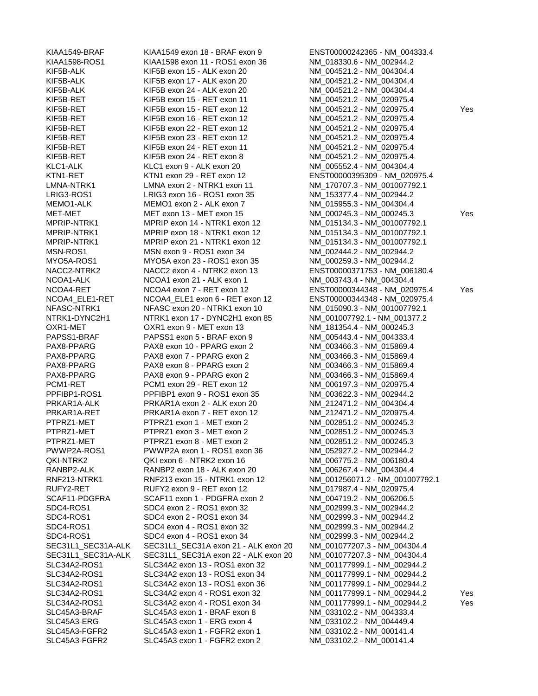| KIAA1549-BRAF        | KIAA1549 exon 18 - BRAF exon 9       | ENST00000242365 - NM_004333.4   |     |
|----------------------|--------------------------------------|---------------------------------|-----|
| <b>KIAA1598-ROS1</b> | KIAA1598 exon 11 - ROS1 exon 36      | NM_018330.6 - NM_002944.2       |     |
| KIF5B-ALK            | KIF5B exon 15 - ALK exon 20          | NM_004521.2 - NM_004304.4       |     |
| KIF5B-ALK            | KIF5B exon 17 - ALK exon 20          | NM_004521.2 - NM_004304.4       |     |
| KIF5B-ALK            | KIF5B exon 24 - ALK exon 20          | NM_004521.2 - NM_004304.4       |     |
| KIF5B-RET            | KIF5B exon 15 - RET exon 11          | NM 004521.2 - NM 020975.4       |     |
| KIF5B-RET            | KIF5B exon 15 - RET exon 12          | NM_004521.2 - NM_020975.4       | Yes |
| KIF5B-RET            | KIF5B exon 16 - RET exon 12          | NM_004521.2 - NM_020975.4       |     |
| KIF5B-RET            | KIF5B exon 22 - RET exon 12          | NM_004521.2 - NM_020975.4       |     |
| KIF5B-RET            | KIF5B exon 23 - RET exon 12          | NM_004521.2 - NM_020975.4       |     |
| KIF5B-RET            | KIF5B exon 24 - RET exon 11          | NM_004521.2 - NM_020975.4       |     |
| KIF5B-RET            | KIF5B exon 24 - RET exon 8           | NM_004521.2 - NM_020975.4       |     |
| KLC1-ALK             | KLC1 exon 9 - ALK exon 20            | NM_005552.4 - NM_004304.4       |     |
| KTN1-RET             | KTN1 exon 29 - RET exon 12           | ENST00000395309 - NM_020975.4   |     |
| LMNA-NTRK1           | LMNA exon 2 - NTRK1 exon 11          | NM_170707.3 - NM_001007792.1    |     |
| LRIG3-ROS1           | LRIG3 exon 16 - ROS1 exon 35         | NM 153377.4 - NM 002944.2       |     |
| MEMO1-ALK            | MEMO1 exon 2 - ALK exon 7            | NM_015955.3 - NM_004304.4       |     |
| MET-MET              | MET exon 13 - MET exon 15            | NM_000245.3 - NM_000245.3       | Yes |
| MPRIP-NTRK1          | MPRIP exon 14 - NTRK1 exon 12        |                                 |     |
|                      |                                      | NM_015134.3 - NM_001007792.1    |     |
| MPRIP-NTRK1          | MPRIP exon 18 - NTRK1 exon 12        | NM_015134.3 - NM_001007792.1    |     |
| MPRIP-NTRK1          | MPRIP exon 21 - NTRK1 exon 12        | NM_015134.3 - NM_001007792.1    |     |
| MSN-ROS1             | MSN exon 9 - ROS1 exon 34            | NM_002444.2 - NM_002944.2       |     |
| MYO5A-ROS1           | MYO5A exon 23 - ROS1 exon 35         | NM_000259.3 - NM_002944.2       |     |
| NACC2-NTRK2          | NACC2 exon 4 - NTRK2 exon 13         | ENST00000371753 - NM_006180.4   |     |
| NCOA1-ALK            | NCOA1 exon 21 - ALK exon 1           | NM_003743.4 - NM_004304.4       |     |
| NCOA4-RET            | NCOA4 exon 7 - RET exon 12           | ENST00000344348 - NM_020975.4   | Yes |
| NCOA4_ELE1-RET       | NCOA4_ELE1 exon 6 - RET exon 12      | ENST00000344348 - NM_020975.4   |     |
| NFASC-NTRK1          | NFASC exon 20 - NTRK1 exon 10        | NM_015090.3 - NM_001007792.1    |     |
| NTRK1-DYNC2H1        | NTRK1 exon 17 - DYNC2H1 exon 85      | NM_001007792.1 - NM_001377.2    |     |
| OXR1-MET             | OXR1 exon 9 - MET exon 13            | NM_181354.4 - NM_000245.3       |     |
| PAPSS1-BRAF          | PAPSS1 exon 5 - BRAF exon 9          | NM_005443.4 - NM_004333.4       |     |
| PAX8-PPARG           | PAX8 exon 10 - PPARG exon 2          | NM_003466.3 - NM_015869.4       |     |
| PAX8-PPARG           | PAX8 exon 7 - PPARG exon 2           | NM_003466.3 - NM_015869.4       |     |
| PAX8-PPARG           | PAX8 exon 8 - PPARG exon 2           | NM_003466.3 - NM_015869.4       |     |
| PAX8-PPARG           | PAX8 exon 9 - PPARG exon 2           | NM_003466.3 - NM_015869.4       |     |
| PCM1-RET             | PCM1 exon 29 - RET exon 12           | NM_006197.3 - NM_020975.4       |     |
| PPFIBP1-ROS1         | PPFIBP1 exon 9 - ROS1 exon 35        | NM 003622.3 - NM 002944.2       |     |
| PRKAR1A-ALK          | PRKAR1A exon 2 - ALK exon 20         | NM_212471.2 - NM_004304.4       |     |
| PRKAR1A-RET          | PRKAR1A exon 7 - RET exon 12         | NM_212471.2 - NM_020975.4       |     |
| PTPRZ1-MET           | PTPRZ1 exon 1 - MET exon 2           | NM_002851.2 - NM_000245.3       |     |
| PTPRZ1-MET           | PTPRZ1 exon 3 - MET exon 2           | NM_002851.2 - NM_000245.3       |     |
| PTPRZ1-MET           | PTPRZ1 exon 8 - MET exon 2           | NM_002851.2 - NM_000245.3       |     |
| PWWP2A-ROS1          | PWWP2A exon 1 - ROS1 exon 36         | NM_052927.2 - NM_002944.2       |     |
| QKI-NTRK2            | QKI exon 6 - NTRK2 exon 16           | NM 006775.2 - NM 006180.4       |     |
| RANBP2-ALK           | RANBP2 exon 18 - ALK exon 20         | NM_006267.4 - NM_004304.4       |     |
| RNF213-NTRK1         | RNF213 exon 15 - NTRK1 exon 12       | NM 001256071.2 - NM_001007792.1 |     |
| RUFY2-RET            | RUFY2 exon 9 - RET exon 12           | NM_017987.4 - NM_020975.4       |     |
| SCAF11-PDGFRA        | SCAF11 exon 1 - PDGFRA exon 2        | NM_004719.2 - NM_006206.5       |     |
| SDC4-ROS1            | SDC4 exon 2 - ROS1 exon 32           | NM_002999.3 - NM_002944.2       |     |
| SDC4-ROS1            | SDC4 exon 2 - ROS1 exon 34           | NM_002999.3 - NM_002944.2       |     |
| SDC4-ROS1            | SDC4 exon 4 - ROS1 exon 32           | NM_002999.3 - NM_002944.2       |     |
| SDC4-ROS1            | SDC4 exon 4 - ROS1 exon 34           | NM_002999.3 - NM_002944.2       |     |
| SEC31L1_SEC31A-ALK   | SEC31L1_SEC31A exon 21 - ALK exon 20 | NM 001077207.3 - NM 004304.4    |     |
| SEC31L1_SEC31A-ALK   | SEC31L1_SEC31A exon 22 - ALK exon 20 | NM_001077207.3 - NM_004304.4    |     |
| SLC34A2-ROS1         | SLC34A2 exon 13 - ROS1 exon 32       | NM 001177999.1 - NM 002944.2    |     |
| SLC34A2-ROS1         | SLC34A2 exon 13 - ROS1 exon 34       | NM_001177999.1 - NM_002944.2    |     |
| SLC34A2-ROS1         | SLC34A2 exon 13 - ROS1 exon 36       | NM_001177999.1 - NM_002944.2    |     |
| SLC34A2-ROS1         | SLC34A2 exon 4 - ROS1 exon 32        | NM_001177999.1 - NM_002944.2    | Yes |
| SLC34A2-ROS1         | SLC34A2 exon 4 - ROS1 exon 34        | NM_001177999.1 - NM_002944.2    | Yes |
| SLC45A3-BRAF         | SLC45A3 exon 1 - BRAF exon 8         | NM 033102.2 - NM 004333.4       |     |
| SLC45A3-ERG          | SLC45A3 exon 1 - ERG exon 4          | NM_033102.2 - NM_004449.4       |     |
| SLC45A3-FGFR2        | SLC45A3 exon 1 - FGFR2 exon 1        | NM_033102.2 - NM_000141.4       |     |
| $SI$ $C45A3-FGFR2$   | $SI$ C45A3 exon 1 - FGFR2 exon 2     | NM 033102 2 - NM 000141 4       |     |